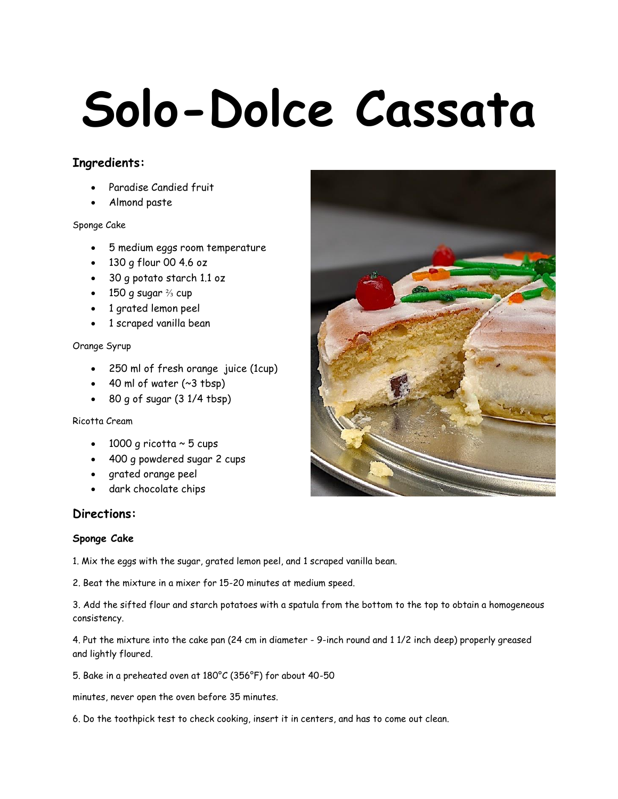# **Solo-Dolce Cassata**

# **Ingredients:**

- Paradise Candied fruit
- Almond paste

# Sponge Cake

- 5 medium eggs room temperature
- 130 g flour 00 4.6 oz
- 30 g potato starch 1.1 oz
- 150 g sugar  $\frac{2}{3}$  cup
- 1 grated lemon peel
- 1 scraped vanilla bean

## Orange Syrup

- 250 ml of fresh orange juice (1cup)
- $\bullet$  40 ml of water (~3 tbsp)
- $\bullet$  80 g of sugar  $(31/4$  tbsp)

## Ricotta Cream

- $\cdot$  1000 g ricotta  $\sim$  5 cups
- 400 g powdered sugar 2 cups
- grated orange peel
- dark chocolate chips

# **Directions:**

## **Sponge Cake**

1. Mix the eggs with the sugar, grated lemon peel, and 1 scraped vanilla bean.

2. Beat the mixture in a mixer for 15-20 minutes at medium speed.

3. Add the sifted flour and starch potatoes with a spatula from the bottom to the top to obtain a homogeneous consistency.

4. Put the mixture into the cake pan (24 cm in diameter - 9-inch round and 1 1/2 inch deep) properly greased and lightly floured.

5. Bake in a preheated oven at 180°C (356°F) for about 40-50

minutes, never open the oven before 35 minutes.

6. Do the toothpick test to check cooking, insert it in centers, and has to come out clean.